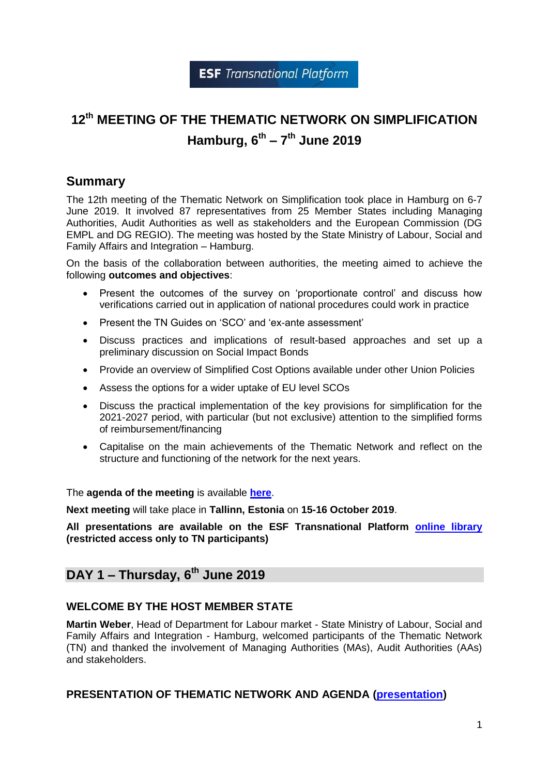# **12th MEETING OF THE THEMATIC NETWORK ON SIMPLIFICATION Hamburg, 6 th – 7 th June 2019**

# **Summary**

The 12th meeting of the Thematic Network on Simplification took place in Hamburg on 6-7 June 2019. It involved 87 representatives from 25 Member States including Managing Authorities, Audit Authorities as well as stakeholders and the European Commission (DG EMPL and DG REGIO). The meeting was hosted by the State Ministry of Labour, Social and Family Affairs and Integration – Hamburg.

On the basis of the collaboration between authorities, the meeting aimed to achieve the following **outcomes and objectives**:

- Present the outcomes of the survey on 'proportionate control' and discuss how verifications carried out in application of national procedures could work in practice
- Present the TN Guides on 'SCO' and 'ex-ante assessment'
- Discuss practices and implications of result-based approaches and set up a preliminary discussion on Social Impact Bonds
- Provide an overview of Simplified Cost Options available under other Union Policies
- Assess the options for a wider uptake of EU level SCOs
- Discuss the practical implementation of the key provisions for simplification for the 2021-2027 period, with particular (but not exclusive) attention to the simplified forms of reimbursement/financing
- Capitalise on the main achievements of the Thematic Network and reflect on the structure and functioning of the network for the next years.

The **agenda of the meeting** is available **[here](https://ec.europa.eu/esf/transnationality/filedepot_download/2793/2405)**.

**Next meeting** will take place in **Tallinn, Estonia** on **15-16 October 2019**.

**All presentations are available on the ESF Transnational Platform [online library](https://ec.europa.eu/esf/transnationality/filedepot/folder/444) (restricted access only to TN participants)**

# **DAY 1 – Thursday, 6th June 2019**

#### **WELCOME BY THE HOST MEMBER STATE**

**Martin Weber**, Head of Department for Labour market - State Ministry of Labour, Social and Family Affairs and Integration - Hamburg, welcomed participants of the Thematic Network (TN) and thanked the involvement of Managing Authorities (MAs), Audit Authorities (AAs) and stakeholders.

#### **PRESENTATION OF THEMATIC NETWORK AND AGENDA [\(presentation\)](https://ec.europa.eu/esf/transnationality/filedepot_download/2794/2397)**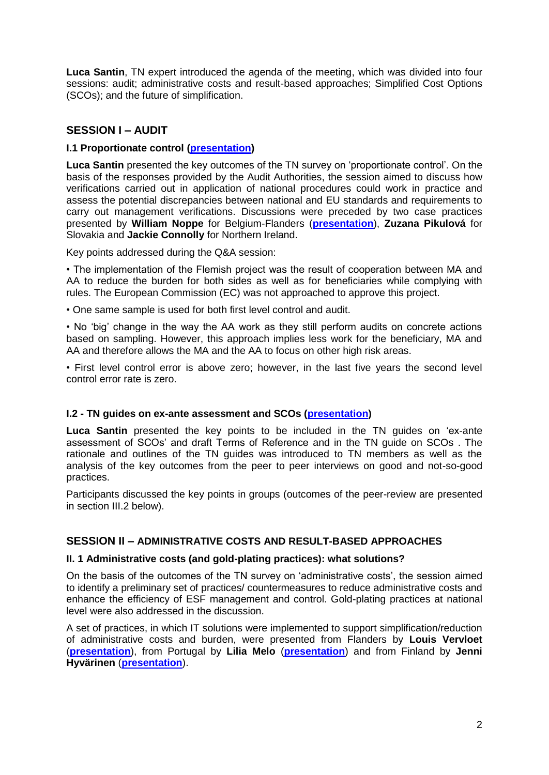**Luca Santin**, TN expert introduced the agenda of the meeting, which was divided into four sessions: audit; administrative costs and result-based approaches; Simplified Cost Options (SCOs); and the future of simplification.

# **SESSION I – AUDIT**

## **I.1 Proportionate control [\(presentation\)](https://ec.europa.eu/esf/transnationality/filedepot_download/2794/2399)**

**Luca Santin** presented the key outcomes of the TN survey on 'proportionate control'. On the basis of the responses provided by the Audit Authorities, the session aimed to discuss how verifications carried out in application of national procedures could work in practice and assess the potential discrepancies between national and EU standards and requirements to carry out management verifications. Discussions were preceded by two case practices presented by **William Noppe** for Belgium-Flanders (**[presentation](https://ec.europa.eu/esf/transnationality/filedepot_download/2794/2398)**), **Zuzana Pikulová** for Slovakia and **Jackie Connolly** for Northern Ireland.

Key points addressed during the Q&A session:

• The implementation of the Flemish project was the result of cooperation between MA and AA to reduce the burden for both sides as well as for beneficiaries while complying with rules. The European Commission (EC) was not approached to approve this project.

• One same sample is used for both first level control and audit.

• No 'big' change in the way the AA work as they still perform audits on concrete actions based on sampling. However, this approach implies less work for the beneficiary, MA and AA and therefore allows the MA and the AA to focus on other high risk areas.

• First level control error is above zero; however, in the last five years the second level control error rate is zero.

## **I.2 - TN guides on ex-ante assessment and SCOs [\(presentation\)](https://ec.europa.eu/esf/transnationality/filedepot_download/2794/2400)**

**Luca Santin** presented the key points to be included in the TN guides on 'ex-ante assessment of SCOs' and draft Terms of Reference and in the TN guide on SCOs . The rationale and outlines of the TN guides was introduced to TN members as well as the analysis of the key outcomes from the peer to peer interviews on good and not-so-good practices.

Participants discussed the key points in groups (outcomes of the peer-review are presented in section III.2 below).

## **SESSION II – ADMINISTRATIVE COSTS AND RESULT-BASED APPROACHES**

#### **II. 1 Administrative costs (and gold-plating practices): what solutions?**

On the basis of the outcomes of the TN survey on 'administrative costs', the session aimed to identify a preliminary set of practices/ countermeasures to reduce administrative costs and enhance the efficiency of ESF management and control. Gold-plating practices at national level were also addressed in the discussion.

A set of practices, in which IT solutions were implemented to support simplification/reduction of administrative costs and burden, were presented from Flanders by **Louis Vervloet** (**[presentation](https://ec.europa.eu/esf/transnationality/filedepot_download/2794/2401)**), from Portugal by **Lilia Melo** (**[presentation](https://ec.europa.eu/esf/transnationality/filedepot_download/2794/2403)**) and from Finland by **Jenni Hyvärinen** (**[presentation](https://ec.europa.eu/esf/transnationality/filedepot_download/2794/2402)**).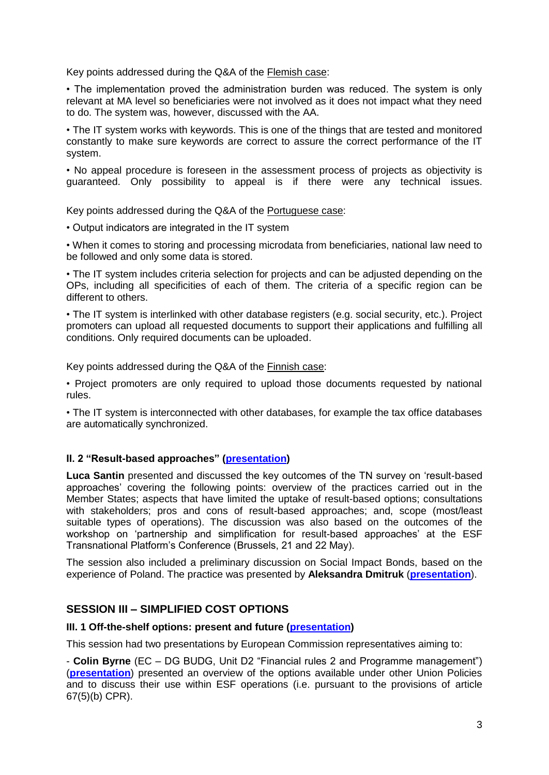Key points addressed during the Q&A of the Flemish case:

• The implementation proved the administration burden was reduced. The system is only relevant at MA level so beneficiaries were not involved as it does not impact what they need to do. The system was, however, discussed with the AA.

• The IT system works with keywords. This is one of the things that are tested and monitored constantly to make sure keywords are correct to assure the correct performance of the IT system.

• No appeal procedure is foreseen in the assessment process of projects as objectivity is guaranteed. Only possibility to appeal is if there were any technical issues.

Key points addressed during the Q&A of the Portuguese case:

• Output indicators are integrated in the IT system

• When it comes to storing and processing microdata from beneficiaries, national law need to be followed and only some data is stored.

• The IT system includes criteria selection for projects and can be adjusted depending on the OPs, including all specificities of each of them. The criteria of a specific region can be different to others.

• The IT system is interlinked with other database registers (e.g. social security, etc.). Project promoters can upload all requested documents to support their applications and fulfilling all conditions. Only required documents can be uploaded.

Key points addressed during the Q&A of the Finnish case:

• Project promoters are only required to upload those documents requested by national rules.

• The IT system is interconnected with other databases, for example the tax office databases are automatically synchronized.

#### **II. 2 "Result-based approaches" [\(presentation\)](https://ec.europa.eu/esf/transnationality/filedepot_download/2794/2389)**

**Luca Santin** presented and discussed the key outcomes of the TN survey on 'result-based approaches' covering the following points: overview of the practices carried out in the Member States; aspects that have limited the uptake of result-based options; consultations with stakeholders; pros and cons of result-based approaches; and, scope (most/least suitable types of operations). The discussion was also based on the outcomes of the workshop on 'partnership and simplification for result-based approaches' at the ESF Transnational Platform's Conference (Brussels, 21 and 22 May).

The session also included a preliminary discussion on Social Impact Bonds, based on the experience of Poland. The practice was presented by **Aleksandra Dmitruk** (**[presentation](https://ec.europa.eu/esf/transnationality/filedepot_download/2794/2388)**).

## **SESSION III – SIMPLIFIED COST OPTIONS**

#### **III. 1 Off-the-shelf options: present and future [\(presentation\)](https://ec.europa.eu/esf/transnationality/filedepot_download/2794/2392)**

This session had two presentations by European Commission representatives aiming to:

- **Colin Byrne** (EC – DG BUDG, Unit D2 "Financial rules 2 and Programme management") (**[presentation](https://ec.europa.eu/esf/transnationality/filedepot_download/2794/2390)**) presented an overview of the options available under other Union Policies and to discuss their use within ESF operations (i.e. pursuant to the provisions of article 67(5)(b) CPR).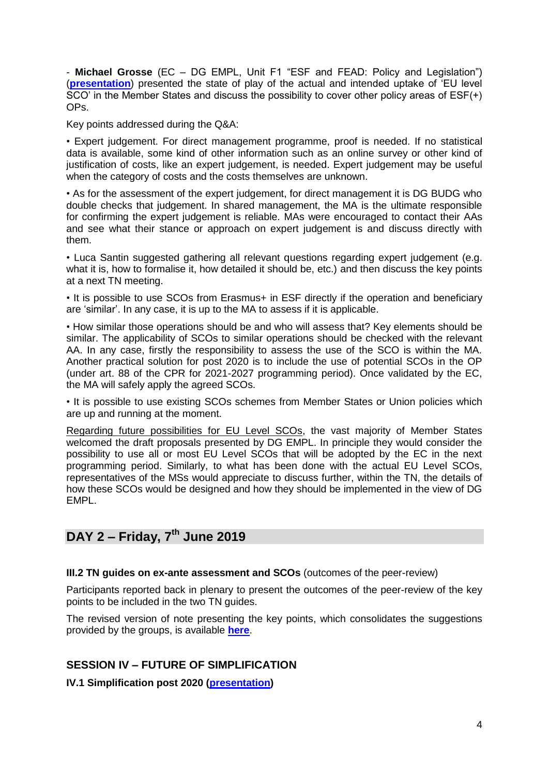- **Michael Grosse** (EC – DG EMPL, Unit F1 "ESF and FEAD: Policy and Legislation") (**[presentation](https://ec.europa.eu/esf/transnationality/filedepot_download/2794/2391)**) presented the state of play of the actual and intended uptake of 'EU level SCO' in the Member States and discuss the possibility to cover other policy areas of ESF(+) OPs.

Key points addressed during the Q&A:

• Expert judgement. For direct management programme, proof is needed. If no statistical data is available, some kind of other information such as an online survey or other kind of justification of costs, like an expert judgement, is needed. Expert judgement may be useful when the category of costs and the costs themselves are unknown.

• As for the assessment of the expert judgement, for direct management it is DG BUDG who double checks that judgement. In shared management, the MA is the ultimate responsible for confirming the expert judgement is reliable. MAs were encouraged to contact their AAs and see what their stance or approach on expert judgement is and discuss directly with them.

• Luca Santin suggested gathering all relevant questions regarding expert judgement (e.g. what it is, how to formalise it, how detailed it should be, etc.) and then discuss the key points at a next TN meeting.

• It is possible to use SCOs from Erasmus+ in ESF directly if the operation and beneficiary are 'similar'. In any case, it is up to the MA to assess if it is applicable.

• How similar those operations should be and who will assess that? Key elements should be similar. The applicability of SCOs to similar operations should be checked with the relevant AA. In any case, firstly the responsibility to assess the use of the SCO is within the MA. Another practical solution for post 2020 is to include the use of potential SCOs in the OP (under art. 88 of the CPR for 2021-2027 programming period). Once validated by the EC, the MA will safely apply the agreed SCOs.

• It is possible to use existing SCOs schemes from Member States or Union policies which are up and running at the moment.

Regarding future possibilities for EU Level SCOs, the vast majority of Member States welcomed the draft proposals presented by DG EMPL. In principle they would consider the possibility to use all or most EU Level SCOs that will be adopted by the EC in the next programming period. Similarly, to what has been done with the actual EU Level SCOs, representatives of the MSs would appreciate to discuss further, within the TN, the details of how these SCOs would be designed and how they should be implemented in the view of DG EMPL.

# **DAY 2 – Friday, 7th June 2019**

#### **III.2 TN guides on ex-ante assessment and SCOs** (outcomes of the peer-review)

Participants reported back in plenary to present the outcomes of the peer-review of the key points to be included in the two TN guides.

The revised version of note presenting the key points, which consolidates the suggestions provided by the groups, is available **[here](https://ec.europa.eu/esf/transnationality/filedepot_download/2794/2509)**.

## **SESSION IV – FUTURE OF SIMPLIFICATION**

**IV.1 Simplification post 2020 [\(presentation\)](https://ec.europa.eu/esf/transnationality/filedepot_download/2794/2395)**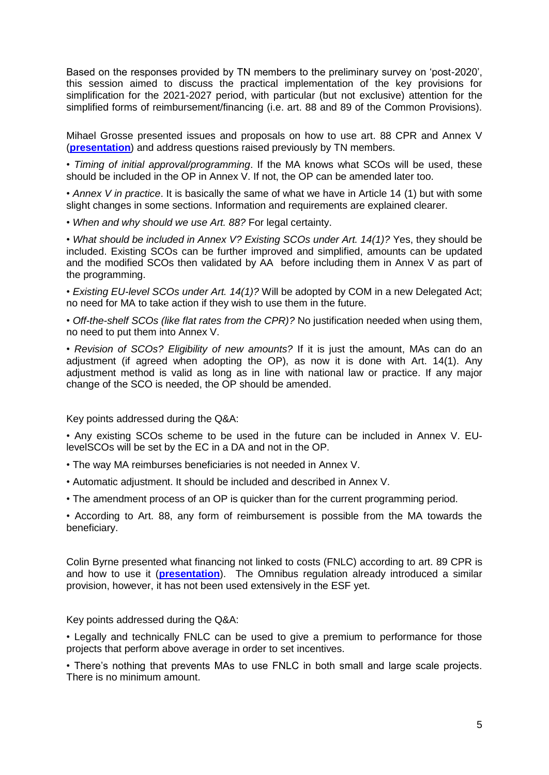Based on the responses provided by TN members to the preliminary survey on 'post-2020', this session aimed to discuss the practical implementation of the key provisions for simplification for the 2021-2027 period, with particular (but not exclusive) attention for the simplified forms of reimbursement/financing (i.e. art. 88 and 89 of the Common Provisions).

Mihael Grosse presented issues and proposals on how to use art. 88 CPR and Annex V (**[presentation](https://ec.europa.eu/esf/transnationality/filedepot_download/2794/2394)**) and address questions raised previously by TN members.

• *Timing of initial approval/programming*. If the MA knows what SCOs will be used, these should be included in the OP in Annex V. If not, the OP can be amended later too.

• *Annex V in practice*. It is basically the same of what we have in Article 14 (1) but with some slight changes in some sections. Information and requirements are explained clearer.

• *When and why should we use Art. 88?* For legal certainty.

• *What should be included in Annex V? Existing SCOs under Art. 14(1)?* Yes, they should be included. Existing SCOs can be further improved and simplified, amounts can be updated and the modified SCOs then validated by AA before including them in Annex V as part of the programming.

• *Existing EU-level SCOs under Art. 14(1)?* Will be adopted by COM in a new Delegated Act; no need for MA to take action if they wish to use them in the future.

• *Off-the-shelf SCOs (like flat rates from the CPR)?* No justification needed when using them, no need to put them into Annex V.

• *Revision of SCOs? Eligibility of new amounts?* If it is just the amount, MAs can do an adjustment (if agreed when adopting the OP), as now it is done with Art. 14(1). Any adjustment method is valid as long as in line with national law or practice. If any major change of the SCO is needed, the OP should be amended.

Key points addressed during the Q&A:

• Any existing SCOs scheme to be used in the future can be included in Annex V. EUlevelSCOs will be set by the EC in a DA and not in the OP.

- The way MA reimburses beneficiaries is not needed in Annex V.
- Automatic adjustment. It should be included and described in Annex V.
- The amendment process of an OP is quicker than for the current programming period.

• According to Art. 88, any form of reimbursement is possible from the MA towards the beneficiary.

Colin Byrne presented what financing not linked to costs (FNLC) according to art. 89 CPR is and how to use it (**[presentation](https://ec.europa.eu/esf/transnationality/filedepot_download/2794/2393)**). The Omnibus regulation already introduced a similar provision, however, it has not been used extensively in the ESF yet.

Key points addressed during the Q&A:

• Legally and technically FNLC can be used to give a premium to performance for those projects that perform above average in order to set incentives.

• There's nothing that prevents MAs to use FNLC in both small and large scale projects. There is no minimum amount.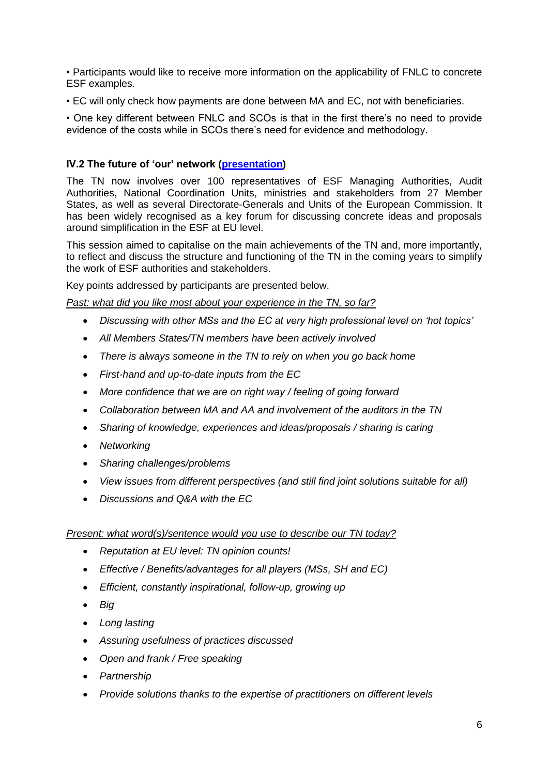• Participants would like to receive more information on the applicability of FNLC to concrete ESF examples.

• EC will only check how payments are done between MA and EC, not with beneficiaries.

• One key different between FNLC and SCOs is that in the first there's no need to provide evidence of the costs while in SCOs there's need for evidence and methodology.

# **IV.2 The future of 'our' network [\(presentation\)](https://ec.europa.eu/esf/transnationality/filedepot_download/2794/2396)**

The TN now involves over 100 representatives of ESF Managing Authorities, Audit Authorities, National Coordination Units, ministries and stakeholders from 27 Member States, as well as several Directorate-Generals and Units of the European Commission. It has been widely recognised as a key forum for discussing concrete ideas and proposals around simplification in the ESF at EU level.

This session aimed to capitalise on the main achievements of the TN and, more importantly, to reflect and discuss the structure and functioning of the TN in the coming years to simplify the work of ESF authorities and stakeholders.

Key points addressed by participants are presented below.

*Past: what did you like most about your experience in the TN, so far?*

- *Discussing with other MSs and the EC at very high professional level on 'hot topics'*
- *All Members States/TN members have been actively involved*
- *There is always someone in the TN to rely on when you go back home*
- *First-hand and up-to-date inputs from the EC*
- *More confidence that we are on right way / feeling of going forward*
- *Collaboration between MA and AA and involvement of the auditors in the TN*
- *Sharing of knowledge, experiences and ideas/proposals / sharing is caring*
- *Networking*
- *Sharing challenges/problems*
- *View issues from different perspectives (and still find joint solutions suitable for all)*
- *Discussions and Q&A with the EC*

#### *Present: what word(s)/sentence would you use to describe our TN today?*

- *Reputation at EU level: TN opinion counts!*
- *Effective / Benefits/advantages for all players (MSs, SH and EC)*
- *Efficient, constantly inspirational, follow-up, growing up*
- *Big*
- *Long lasting*
- *Assuring usefulness of practices discussed*
- *Open and frank / Free speaking*
- *Partnership*
- *Provide solutions thanks to the expertise of practitioners on different levels*